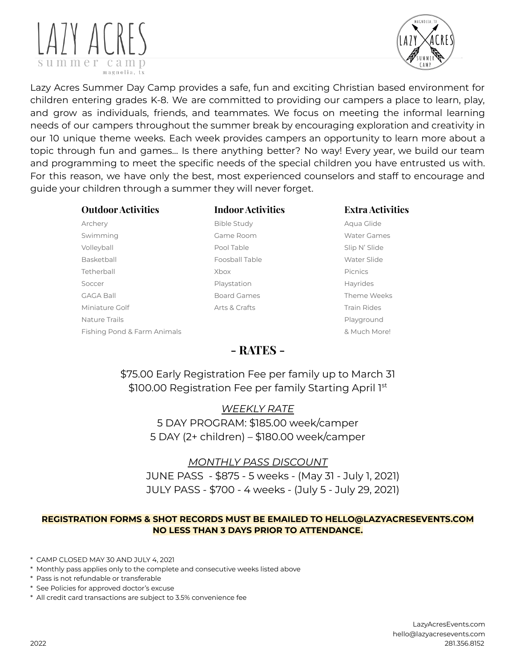



Lazy Acres Summer Day Camp provides a safe, fun and exciting Christian based environment for children entering grades K-8. We are committed to providing our campers a place to learn, play, and grow as individuals, friends, and teammates. We focus on meeting the informal learning needs of our campers throughout the summer break by encouraging exploration and creativity in our 10 unique theme weeks. Each week provides campers an opportunity to learn more about a topic through fun and games… Is there anything better? No way! Every year, we build our team and programming to meet the specific needs of the special children you have entrusted us with. For this reason, we have only the best, most experienced counselors and staff to encourage and guide your children through a summer they will never forget.

#### **Outdoor Activities Indoor Activities Extra Activities**

Archery **Archery Aqua Glide Study Aqua Glide** Bible Study **Aqua Glide** Swimming **Game Room** Game Room Water Games Volleyball Pool Table Slip N' Slide Basketball **Foosball Table Mater Slide Water Slide Water Slide** Tetherball Xbox Picnics Soccer **Playstation** Playstation **Hayrides** GAGA Ball **Board Games** Board Games Theme Weeks Miniature Golf **Arts & Crafts** Arts & Crafts Train Rides Nature Trails **Playground Playground Playground Playground** Fishing Pond & Farm Animals **Branch Constanting Pond & Farm Animals Animals Branch Constanting Management Branch Animals Branch Constanting Management Animals** 

# **- RATES -**

\$75.00 Early Registration Fee per family up to March 31 \$100.00 Registration Fee per family Starting April 1st

> *WEEKLY RATE* 5 DAY PROGRAM: \$185.00 week/camper 5 DAY (2+ children) – \$180.00 week/camper

# *MONTHLY PASS DISCOUNT*

JUNE PASS - \$875 - 5 weeks - (May 31 - July 1, 2021) JULY PASS - \$700 - 4 weeks - (July 5 - July 29, 2021)

### **REGISTRATION FORMS & SHOT RECORDS MUST BE EMAILED TO HELLO@LAZYACRESEVENTS.COM NO LESS THAN 3 DAYS PRIOR TO ATTENDANCE.**

\* CAMP CLOSED MAY 30 AND JULY 4, 2021

- \* See Policies for approved doctor's excuse
- \* All credit card transactions are subject to 3.5% convenience fee

<sup>\*</sup> Monthly pass applies only to the complete and consecutive weeks listed above

<sup>\*</sup> Pass is not refundable or transferable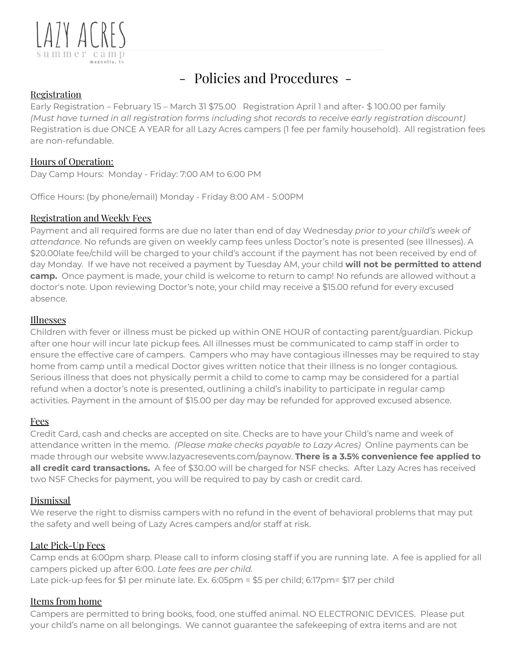

# - Policies and Procedures -

# Registration

Early Registration – February 15 – March 31 \$75.00 Registration April 1 and after- \$ 100.00 per family *(Must have turned in all registration forms including shot records to receive early registration discount)* Registration is due ONCE A YEAR for all Lazy Acres campers (1 fee per family household). All registration fees are non-refundable.

# Hours of Operation:

Day Camp Hours: Monday - Friday: 7:00 AM to 6:00 PM

Office Hours: (by phone/email) Monday - Friday 8:00 AM - 5:00PM

# Registration and Weekly Fees

Payment and all required forms are due no later than end of day Wednesday *prior to your child's week of attendance*. No refunds are given on weekly camp fees unless Doctor's note is presented (see Illnesses). A \$20.00late fee/child will be charged to your child's account if the payment has not been received by end of day Monday. If we have not received a payment by Tuesday AM, your child **will not be permitted to attend camp.** Once payment is made, your child is welcome to return to camp! No refunds are allowed without a doctor's note. Upon reviewing Doctor's note, your child may receive a \$15.00 refund for every excused absence.

### Illnesses

Children with fever or illness must be picked up within ONE HOUR of contacting parent/guardian. Pickup after one hour will incur late pickup fees. All illnesses must be communicated to camp staff in order to ensure the effective care of campers. Campers who may have contagious illnesses may be required to stay home from camp until a medical Doctor gives written notice that their illness is no longer contagious. Serious illness that does not physically permit a child to come to camp may be considered for a partial refund when a doctor's note is presented, outlining a child's inability to participate in regular camp activities. Payment in the amount of \$15.00 per day may be refunded for approved excused absence.

# Fees

Credit Card, cash and checks are accepted on site. Checks are to have your Child's name and week of attendance written in the memo. *(Please make checks payable to Lazy Acres)* Online payments can be made through our website www.lazyacresevents.com/paynow. **There is a 3.5% convenience fee applied to all credit card transactions.** A fee of \$30.00 will be charged for NSF checks. After Lazy Acres has received two NSF Checks for payment, you will be required to pay by cash or credit card.

# Dismissal

We reserve the right to dismiss campers with no refund in the event of behavioral problems that may put the safety and well being of Lazy Acres campers and/or staff at risk.

# Late Pick-Up Fees

Camp ends at 6:00pm sharp. Please call to inform closing staff if you are running late. A fee is applied for all campers picked up after 6:00. *Late fees are per child.* Late pick-up fees for \$1 per minute late. Ex. 6:05pm = \$5 per child; 6:17pm= \$17 per child

# Items from home

Campers are permitted to bring books, food, one stuffed animal. NO ELECTRONIC DEVICES. Please put your child's name on all belongings. We cannot guarantee the safekeeping of extra items and are not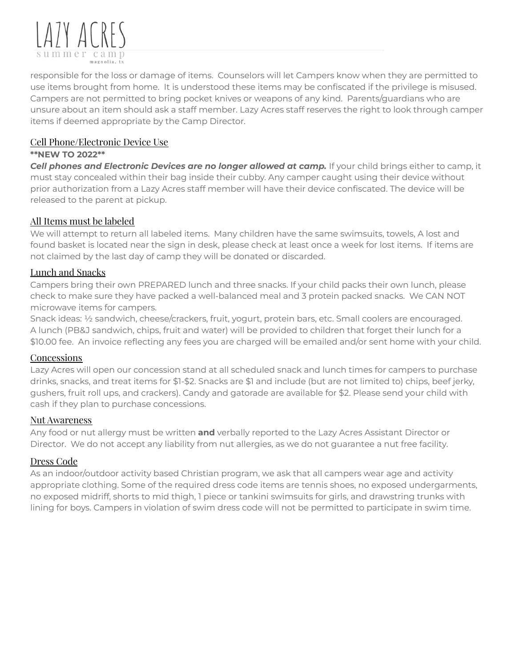

responsible for the loss or damage of items. Counselors will let Campers know when they are permitted to use items brought from home. It is understood these items may be confiscated if the privilege is misused. Campers are not permitted to bring pocket knives or weapons of any kind. Parents/guardians who are unsure about an item should ask a staff member. Lazy Acres staff reserves the right to look through camper items if deemed appropriate by the Camp Director.

## Cell Phone/Electronic Device Use

#### **\*\*NEW TO 2022\*\***

*Cell phones and Electronic Devices are no longer allowed at camp.* If your child brings either to camp, it must stay concealed within their bag inside their cubby. Any camper caught using their device without prior authorization from a Lazy Acres staff member will have their device confiscated. The device will be released to the parent at pickup.

# All Items must be labeled

We will attempt to return all labeled items. Many children have the same swimsuits, towels, A lost and found basket is located near the sign in desk, please check at least once a week for lost items. If items are not claimed by the last day of camp they will be donated or discarded.

# Lunch and Snacks

Campers bring their own PREPARED lunch and three snacks. If your child packs their own lunch, please check to make sure they have packed a well-balanced meal and 3 protein packed snacks. We CAN NOT microwave items for campers.

Snack ideas: ½ sandwich, cheese/crackers, fruit, yogurt, protein bars, etc. Small coolers are encouraged. A lunch (PB&J sandwich, chips, fruit and water) will be provided to children that forget their lunch for a \$10.00 fee. An invoice reflecting any fees you are charged will be emailed and/or sent home with your child.

#### **Concessions**

Lazy Acres will open our concession stand at all scheduled snack and lunch times for campers to purchase drinks, snacks, and treat items for \$1-\$2. Snacks are \$1 and include (but are not limited to) chips, beef jerky, gushers, fruit roll ups, and crackers). Candy and gatorade are available for \$2. Please send your child with cash if they plan to purchase concessions.

#### Nut Awareness

Any food or nut allergy must be written **and** verbally reported to the Lazy Acres Assistant Director or Director. We do not accept any liability from nut allergies, as we do not guarantee a nut free facility.

# Dress Code

As an indoor/outdoor activity based Christian program, we ask that all campers wear age and activity appropriate clothing. Some of the required dress code items are tennis shoes, no exposed undergarments, no exposed midriff, shorts to mid thigh, 1 piece or tankini swimsuits for girls, and drawstring trunks with lining for boys. Campers in violation of swim dress code will not be permitted to participate in swim time.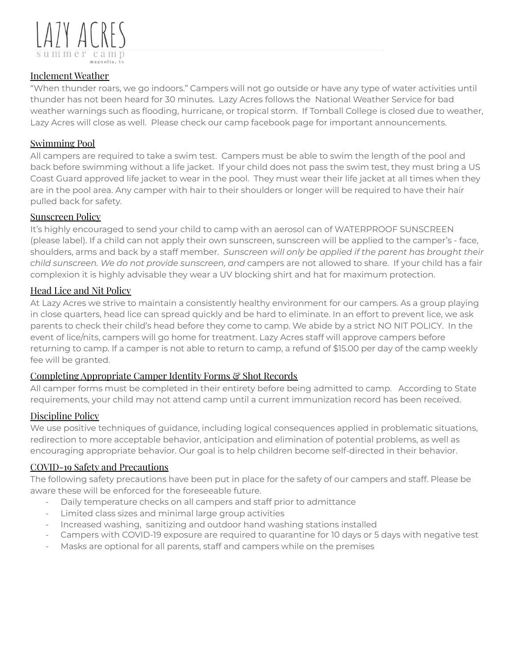

### Inclement Weather

"When thunder roars, we go indoors." Campers will not go outside or have any type of water activities until thunder has not been heard for 30 minutes. Lazy Acres follows the National Weather Service for bad weather warnings such as flooding, hurricane, or tropical storm. If Tomball College is closed due to weather, Lazy Acres will close as well. Please check our camp facebook page for important announcements.

### Swimming Pool

All campers are required to take a swim test. Campers must be able to swim the length of the pool and back before swimming without a life jacket. If your child does not pass the swim test, they must bring a US Coast Guard approved life jacket to wear in the pool. They must wear their life jacket at all times when they are in the pool area. Any camper with hair to their shoulders or longer will be required to have their hair pulled back for safety.

### Sunscreen Policy

It's highly encouraged to send your child to camp with an aerosol can of WATERPROOF SUNSCREEN (please label). If a child can not apply their own sunscreen, sunscreen will be applied to the camper's - face, shoulders, arms and back by a staff member. *Sunscreen will only be applied if the parent has brought their child sunscreen. We do not provide sunscreen, and* campers are not allowed to share. If your child has a fair complexion it is highly advisable they wear a UV blocking shirt and hat for maximum protection.

### Head Lice and Nit Policy

At Lazy Acres we strive to maintain a consistently healthy environment for our campers. As a group playing in close quarters, head lice can spread quickly and be hard to eliminate. In an effort to prevent lice, we ask parents to check their child's head before they come to camp. We abide by a strict NO NIT POLICY. In the event of lice/nits, campers will go home for treatment. Lazy Acres staff will approve campers before returning to camp. If a camper is not able to return to camp, a refund of \$15.00 per day of the camp weekly fee will be granted.

# Completing Appropriate Camper Identity Forms & Shot Records

All camper forms must be completed in their entirety before being admitted to camp. According to State requirements, your child may not attend camp until a current immunization record has been received.

#### Discipline Policy

We use positive techniques of guidance, including logical consequences applied in problematic situations, redirection to more acceptable behavior, anticipation and elimination of potential problems, as well as encouraging appropriate behavior. Our goal is to help children become self-directed in their behavior.

#### COVID-19 Safety and Precautions

The following safety precautions have been put in place for the safety of our campers and staff. Please be aware these will be enforced for the foreseeable future.

- Daily temperature checks on all campers and staff prior to admittance
- Limited class sizes and minimal large group activities
- Increased washing, sanitizing and outdoor hand washing stations installed
- Campers with COVID-19 exposure are required to quarantine for 10 days or 5 days with negative test
- Masks are optional for all parents, staff and campers while on the premises